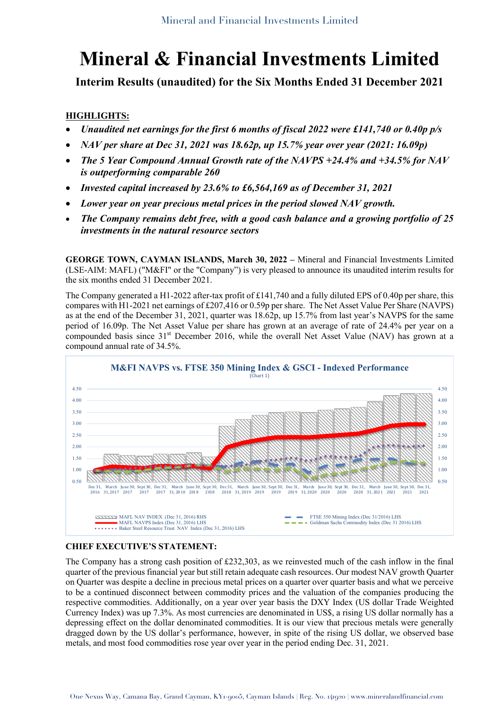**Interim Results (unaudited) for the Six Months Ended 31 December 2021**

## **HIGHLIGHTS:**

- *Unaudited net earnings for the first 6 months of fiscal 2022 were £141,740 or 0.40p p/s*
- *NAV per share at Dec 31, 2021 was 18.62p, up 15.7% year over year (2021: 16.09p)*
- *The 5 Year Compound Annual Growth rate of the NAVPS +24.4% and +34.5% for NAV is outperforming comparable 260*
- *Invested capital increased by 23.6% to £6,564,169 as of December 31, 2021*
- *Lower year on year precious metal prices in the period slowed NAV growth.*
- *The Company remains debt free, with a good cash balance and a growing portfolio of 25 investments in the natural resource sectors*

**GEORGE TOWN, CAYMAN ISLANDS, March 30, 2022 –** Mineral and Financial Investments Limited (LSE-AIM: MAFL) ("M&FI" or the "Company") is very pleased to announce its unaudited interim results for the six months ended 31 December 2021.

The Company generated a H1-2022 after-tax profit of £141,740 and a fully diluted EPS of 0.40p per share, this compares with H1-2021 net earnings of £207,416 or 0.59p per share. The Net Asset Value Per Share (NAVPS) as at the end of the December 31, 2021, quarter was 18.62p, up 15.7% from last year's NAVPS for the same period of 16.09p. The Net Asset Value per share has grown at an average of rate of 24.4% per year on a compounded basis since 31st December 2016, while the overall Net Asset Value (NAV) has grown at a compound annual rate of 34.5%.



#### **CHIEF EXECUTIVE'S STATEMENT:**

The Company has a strong cash position of £232,303, as we reinvested much of the cash inflow in the final quarter of the previous financial year but still retain adequate cash resources. Our modest NAV growth Quarter on Quarter was despite a decline in precious metal prices on a quarter over quarter basis and what we perceive to be a continued disconnect between commodity prices and the valuation of the companies producing the respective commodities. Additionally, on a year over year basis the DXY Index (US dollar Trade Weighted Currency Index) was up 7.3%. As most currencies are denominated in US\$, a rising US dollar normally has a depressing effect on the dollar denominated commodities. It is our view that precious metals were generally dragged down by the US dollar's performance, however, in spite of the rising US dollar, we observed base metals, and most food commodities rose year over year in the period ending Dec. 31, 2021.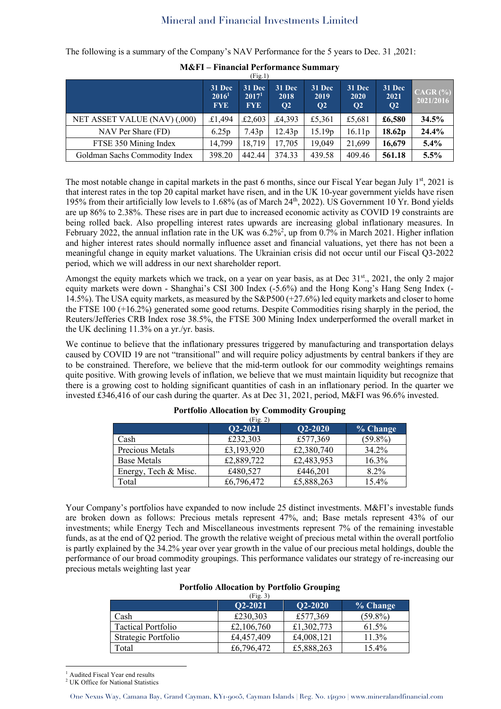The following is a summary of the Company's NAV Performance for the 5 years to Dec. 31 ,2021:

|                               |                                           | (Fig.1)                                   |                                 |                                |                                  |                                  |                             |
|-------------------------------|-------------------------------------------|-------------------------------------------|---------------------------------|--------------------------------|----------------------------------|----------------------------------|-----------------------------|
|                               | 31 Dec<br>2016 <sup>1</sup><br><b>FYE</b> | 31 Dec<br>2017 <sup>1</sup><br><b>FYE</b> | 31 Dec<br>2018<br>$\mathbf{O}2$ | 31 Dec<br>2019<br>$\mathbf{Q}$ | 31 Dec<br>2020<br>Q <sub>2</sub> | 31 Dec<br>2021<br>Q <sub>2</sub> | $CAGR$ $(\% )$<br>2021/2016 |
| NET ASSET VALUE (NAV) (,000)  | £1,494                                    | £2,603                                    | £4,393                          | £5,361                         | £5,681                           | £6,580                           | 34.5%                       |
| NAV Per Share (FD)            | 6.25p                                     | 7.43p                                     | 12.43p                          | 15.19 <sub>p</sub>             | 16.11p                           | 18.62p                           | 24.4%                       |
| FTSE 350 Mining Index         | 14.799                                    | 18.719                                    | 17.705                          | 19,049                         | 21,699                           | 16,679                           | 5.4%                        |
| Goldman Sachs Commodity Index | 398.20                                    | 442.44                                    | 374.33                          | 439.58                         | 409.46                           | 561.18                           | 5.5%                        |

**M&FI – Financial Performance Summary**

The most notable change in capital markets in the past 6 months, since our Fiscal Year began July  $1<sup>st</sup>$ , 2021 is that interest rates in the top 20 capital market have risen, and in the UK 10-year government yields have risen 195% from their artificially low levels to 1.68% (as of March 24th, 2022). US Government 10 Yr. Bond yields are up 86% to 2.38%. These rises are in part due to increased economic activity as COVID 19 constraints are being rolled back. Also propelling interest rates upwards are increasing global inflationary measures. In February 2022, the annual inflation rate in the UK was 6.2%<sup>2</sup>, up from 0.7% in March 2021. Higher inflation and higher interest rates should normally influence asset and financial valuations, yet there has not been a meaningful change in equity market valuations. The Ukrainian crisis did not occur until our Fiscal Q3-2022 period, which we will address in our next shareholder report.

Amongst the equity markets which we track, on a year on year basis, as at Dec  $31<sup>st</sup>$ , 2021, the only 2 major equity markets were down - Shanghai's CSI 300 Index (-5.6%) and the Hong Kong's Hang Seng Index (- 14.5%). The USA equity markets, as measured by the S&P500 (+27.6%) led equity markets and closer to home the FTSE 100 (+16.2%) generated some good returns. Despite Commodities rising sharply in the period, the Reuters/Jefferies CRB Index rose 38.5%, the FTSE 300 Mining Index underperformed the overall market in the UK declining 11.3% on a yr./yr. basis.

We continue to believe that the inflationary pressures triggered by manufacturing and transportation delays caused by COVID 19 are not "transitional" and will require policy adjustments by central bankers if they are to be constrained. Therefore, we believe that the mid-term outlook for our commodity weightings remains quite positive. With growing levels of inflation, we believe that we must maintain liquidity but recognize that there is a growing cost to holding significant quantities of cash in an inflationary period. In the quarter we invested £346,416 of our cash during the quarter. As at Dec 31, 2021, period, M&FI was 96.6% invested.

| (Fig. 2)             |            |            |            |  |  |  |
|----------------------|------------|------------|------------|--|--|--|
|                      | Q2-2021    | Q2-2020    | % Change   |  |  |  |
| Cash                 | £232,303   | £577,369   | $(59.8\%)$ |  |  |  |
| Precious Metals      | £3,193,920 | £2,380,740 | 34.2%      |  |  |  |
| <b>Base Metals</b>   | £2,889,722 | £2,483,953 | 16.3%      |  |  |  |
| Energy, Tech & Misc. | £480,527   | £446,201   | $8.2\%$    |  |  |  |
| Total                | £6,796,472 | £5,888,263 | 15.4%      |  |  |  |

| <b>Portfolio Allocation by Commodity Grouping</b> |  |  |  |
|---------------------------------------------------|--|--|--|
|---------------------------------------------------|--|--|--|

Your Company's portfolios have expanded to now include 25 distinct investments. M&FI's investable funds are broken down as follows: Precious metals represent 47%, and; Base metals represent 43% of our investments; while Energy Tech and Miscellaneous investments represent 7% of the remaining investable funds, as at the end of Q2 period. The growth the relative weight of precious metal within the overall portfolio is partly explained by the 34.2% year over year growth in the value of our precious metal holdings, double the performance of our broad commodity groupings. This performance validates our strategy of re-increasing our precious metals weighting last year

| <b>Portfolio Allocation by Portfolio Grouping</b> |  |  |  |
|---------------------------------------------------|--|--|--|
|---------------------------------------------------|--|--|--|

| (Fig. 3)                  |            |             |            |  |  |  |
|---------------------------|------------|-------------|------------|--|--|--|
|                           | Q2-2021    | $O2 - 2020$ | % Change   |  |  |  |
| Cash                      | £230,303   | £577,369    | $(59.8\%)$ |  |  |  |
| <b>Tactical Portfolio</b> | £2,106,760 | £1,302,773  | 61.5%      |  |  |  |
| Strategic Portfolio       | £4,457,409 | £4,008,121  | 11.3%      |  |  |  |
| Total                     | £6,796,472 | £5,888,263  | $15.4\%$   |  |  |  |

<sup>1</sup> Audited Fiscal Year end results

<sup>2</sup> UK Office for National Statistics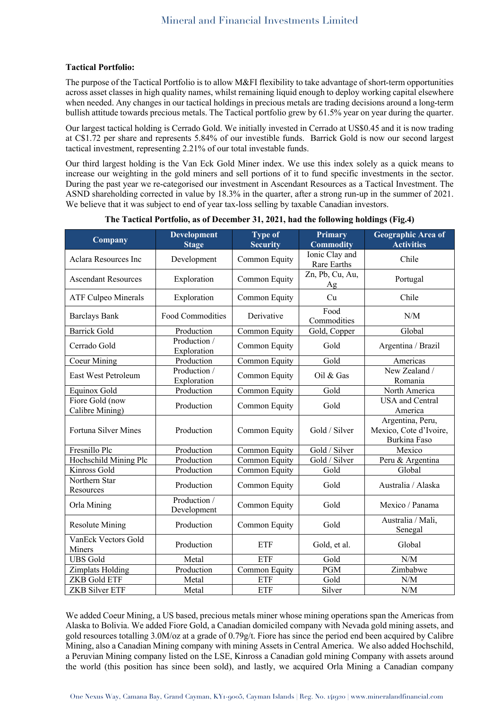### **Tactical Portfolio:**

The purpose of the Tactical Portfolio is to allow M&FI flexibility to take advantage of short-term opportunities across asset classes in high quality names, whilst remaining liquid enough to deploy working capital elsewhere when needed. Any changes in our tactical holdings in precious metals are trading decisions around a long-term bullish attitude towards precious metals. The Tactical portfolio grew by 61.5% year on year during the quarter.

Our largest tactical holding is Cerrado Gold. We initially invested in Cerrado at US\$0.45 and it is now trading at C\$1.72 per share and represents 5.84% of our investible funds. Barrick Gold is now our second largest tactical investment, representing 2.21% of our total investable funds.

Our third largest holding is the Van Eck Gold Miner index. We use this index solely as a quick means to increase our weighting in the gold miners and sell portions of it to fund specific investments in the sector. During the past year we re-categorised our investment in Ascendant Resources as a Tactical Investment. The ASND shareholding corrected in value by 18.3% in the quarter, after a strong run-up in the summer of 2021. We believe that it was subject to end of year tax-loss selling by taxable Canadian investors.

| Company                            | <b>Development</b><br><b>Stage</b> | <b>Type of</b><br><b>Security</b> | <b>Primary</b><br><b>Commodity</b> | <b>Geographic Area of</b><br><b>Activities</b>             |
|------------------------------------|------------------------------------|-----------------------------------|------------------------------------|------------------------------------------------------------|
| Aclara Resources Inc               | Development                        | Common Equity                     | Ionic Clay and<br>Rare Earths      | Chile                                                      |
| <b>Ascendant Resources</b>         | Exploration                        | Common Equity                     | Zn, Pb, Cu, Au,<br>Ag              | Portugal                                                   |
| <b>ATF Culpeo Minerals</b>         | Exploration                        | Common Equity                     | Cu                                 | Chile                                                      |
| <b>Barclays Bank</b>               | Food Commodities                   | Derivative                        | Food<br>Commodities                | N/M                                                        |
| <b>Barrick Gold</b>                | Production                         | Common Equity                     | Gold, Copper                       | Global                                                     |
| Cerrado Gold                       | Production /<br>Exploration        | Common Equity                     | Gold                               | Argentina / Brazil                                         |
| <b>Coeur Mining</b>                | Production                         | Common Equity                     | Gold                               | Americas                                                   |
| East West Petroleum                | Production /<br>Exploration        | Common Equity                     | Oil & Gas                          | New Zealand /<br>Romania                                   |
| Equinox Gold                       | Production                         | Common Equity                     | Gold                               | North America                                              |
| Fiore Gold (now<br>Calibre Mining) | Production                         | Common Equity                     | Gold                               | <b>USA</b> and Central<br>America                          |
| Fortuna Silver Mines               | Production                         | Common Equity                     | Gold / Silver                      | Argentina, Peru,<br>Mexico, Cote d'Ivoire,<br>Burkina Faso |
| Fresnillo Plc                      | Production                         | Common Equity                     | Gold / Silver                      | Mexico                                                     |
| Hochschild Mining Plc              | Production                         | Common Equity                     | Gold / Silver                      | Peru & Argentina                                           |
| Kinross Gold                       | Production                         | Common Equity                     | Gold                               | Global                                                     |
| Northern Star<br>Resources         | Production                         | Common Equity                     | Gold                               | Australia / Alaska                                         |
| Orla Mining                        | Production /<br>Development        | Common Equity                     | Gold                               | Mexico / Panama                                            |
| <b>Resolute Mining</b>             | Production                         | Common Equity                     | Gold                               | Australia / Mali,<br>Senegal                               |
| VanEck Vectors Gold<br>Miners      | Production                         | <b>ETF</b>                        | Gold, et al.                       | Global                                                     |
| <b>UBS</b> Gold                    | Metal                              | <b>ETF</b>                        | Gold                               | N/M                                                        |
| Zimplats Holding                   | Production                         | Common Equity                     | <b>PGM</b>                         | Zimbabwe                                                   |
| <b>ZKB Gold ETF</b>                | Metal                              | <b>ETF</b>                        | Gold                               | N/M                                                        |
| ZKB Silver ETF                     | Metal                              | <b>ETF</b>                        | Silver                             | $\ensuremath{\text{N}}/\ensuremath{\text{M}}$              |

#### **The Tactical Portfolio, as of December 31, 2021, had the following holdings (Fig.4)**

We added Coeur Mining, a US based, precious metals miner whose mining operations span the Americas from Alaska to Bolivia. We added Fiore Gold, a Canadian domiciled company with Nevada gold mining assets, and gold resources totalling 3.0M/oz at a grade of 0.79g/t. Fiore has since the period end been acquired by Calibre Mining, also a Canadian Mining company with mining Assets in Central America. We also added Hochschild, a Peruvian Mining company listed on the LSE, Kinross a Canadian gold mining Company with assets around the world (this position has since been sold), and lastly, we acquired Orla Mining a Canadian company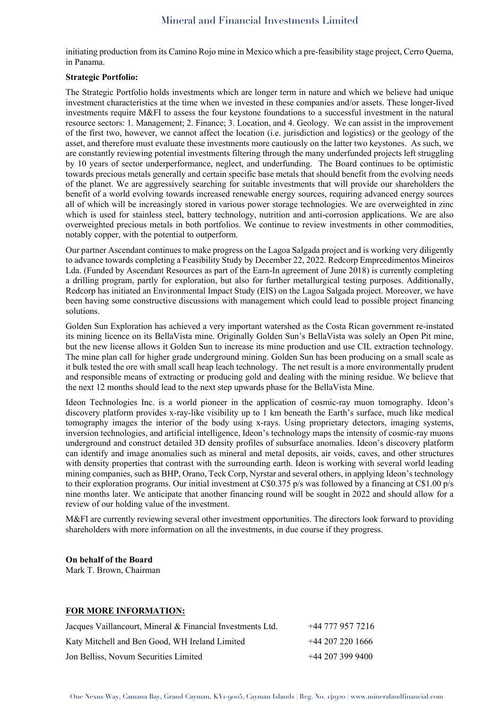initiating production from its Camino Rojo mine in Mexico which a pre-feasibility stage project, Cerro Quema, in Panama.

#### **Strategic Portfolio:**

The Strategic Portfolio holds investments which are longer term in nature and which we believe had unique investment characteristics at the time when we invested in these companies and/or assets. These longer-lived investments require M&FI to assess the four keystone foundations to a successful investment in the natural resource sectors: 1. Management; 2. Finance; 3. Location, and 4. Geology. We can assist in the improvement of the first two, however, we cannot affect the location (i.e. jurisdiction and logistics) or the geology of the asset, and therefore must evaluate these investments more cautiously on the latter two keystones. As such, we are constantly reviewing potential investments filtering through the many underfunded projects left struggling by 10 years of sector underperformance, neglect, and underfunding. The Board continues to be optimistic towards precious metals generally and certain specific base metals that should benefit from the evolving needs of the planet. We are aggressively searching for suitable investments that will provide our shareholders the benefit of a world evolving towards increased renewable energy sources, requiring advanced energy sources all of which will be increasingly stored in various power storage technologies. We are overweighted in zinc which is used for stainless steel, battery technology, nutrition and anti-corrosion applications. We are also overweighted precious metals in both portfolios. We continue to review investments in other commodities, notably copper, with the potential to outperform.

Our partner Ascendant continues to make progress on the Lagoa Salgada project and is working very diligently to advance towards completing a Feasibility Study by December 22, 2022. Redcorp Empreedimentos Mineiros Lda. (Funded by Ascendant Resources as part of the Earn-In agreement of June 2018) is currently completing a drilling program, partly for exploration, but also for further metallurgical testing purposes. Additionally, Redcorp has initiated an Environmental Impact Study (EIS) on the Lagoa Salgada project. Moreover, we have been having some constructive discussions with management which could lead to possible project financing solutions.

Golden Sun Exploration has achieved a very important watershed as the Costa Rican government re-instated its mining licence on its BellaVista mine. Originally Golden Sun's BellaVista was solely an Open Pit mine, but the new license allows it Golden Sun to increase its mine production and use CIL extraction technology. The mine plan call for higher grade underground mining. Golden Sun has been producing on a small scale as it bulk tested the ore with small scall heap leach technology. The net result is a more environmentally prudent and responsible means of extracting or producing gold and dealing with the mining residue. We believe that the next 12 months should lead to the next step upwards phase for the BellaVista Mine.

Ideon Technologies Inc. is a world pioneer in the application of cosmic-ray muon tomography. Ideon's discovery platform provides x-ray-like visibility up to 1 km beneath the Earth's surface, much like medical tomography images the interior of the body using x-rays. Using proprietary detectors, imaging systems, inversion technologies, and artificial intelligence, Ideon's technology maps the intensity of cosmic-ray muons underground and construct detailed 3D density profiles of subsurface anomalies. Ideon's discovery platform can identify and image anomalies such as mineral and metal deposits, air voids, caves, and other structures with density properties that contrast with the surrounding earth. Ideon is working with several world leading mining companies, such as BHP, Orano, Teck Corp, Nyrstar and several others, in applying Ideon's technology to their exploration programs. Our initial investment at C\$0.375 p/s was followed by a financing at C\$1.00 p/s nine months later. We anticipate that another financing round will be sought in 2022 and should allow for a review of our holding value of the investment.

M&FI are currently reviewing several other investment opportunities. The directors look forward to providing shareholders with more information on all the investments, in due course if they progress.

#### **On behalf of the Board**

Mark T. Brown, Chairman

#### **FOR MORE INFORMATION:**

| Jacques Vaillancourt, Mineral & Financial Investments Ltd. | +44 777 957 7216   |
|------------------------------------------------------------|--------------------|
| Katy Mitchell and Ben Good, WH Ireland Limited             | $+44$ 207 220 1666 |
| Jon Belliss, Novum Securities Limited                      | $+44$ 207 399 9400 |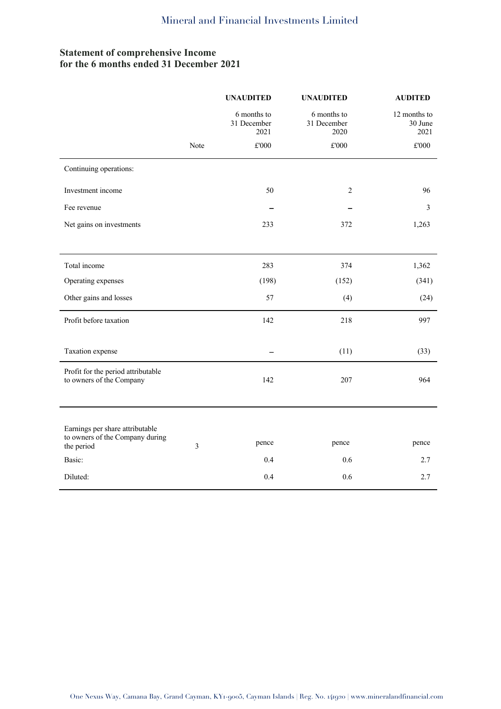# **Statement of comprehensive Income for the 6 months ended 31 December 2021**

|                                                                                  |      | <b>UNAUDITED</b>                   | <b>UNAUDITED</b>                   | <b>AUDITED</b>                  |
|----------------------------------------------------------------------------------|------|------------------------------------|------------------------------------|---------------------------------|
|                                                                                  |      | 6 months to<br>31 December<br>2021 | 6 months to<br>31 December<br>2020 | 12 months to<br>30 June<br>2021 |
|                                                                                  | Note | $\pounds 000$                      | $\pounds 000$                      | $\pounds 000$                   |
| Continuing operations:                                                           |      |                                    |                                    |                                 |
| Investment income                                                                |      | 50                                 | 2                                  | 96                              |
| Fee revenue                                                                      |      |                                    |                                    | 3                               |
| Net gains on investments                                                         |      | 233                                | 372                                | 1,263                           |
|                                                                                  |      |                                    |                                    |                                 |
| Total income                                                                     |      | 283                                | 374                                | 1,362                           |
| Operating expenses                                                               |      | (198)                              | (152)                              | (341)                           |
| Other gains and losses                                                           |      | 57                                 | (4)                                | (24)                            |
| Profit before taxation                                                           |      | 142                                | 218                                | 997                             |
|                                                                                  |      |                                    |                                    |                                 |
| Taxation expense                                                                 |      |                                    | (11)                               | (33)                            |
| Profit for the period attributable<br>to owners of the Company                   |      | 142                                | 207                                | 964                             |
|                                                                                  |      |                                    |                                    |                                 |
| Earnings per share attributable<br>to owners of the Company during<br>the period | 3    | pence                              | pence                              | pence                           |
| Basic:                                                                           |      | 0.4                                | 0.6                                | 2.7                             |
| Diluted:                                                                         |      | 0.4                                | 0.6                                | 2.7                             |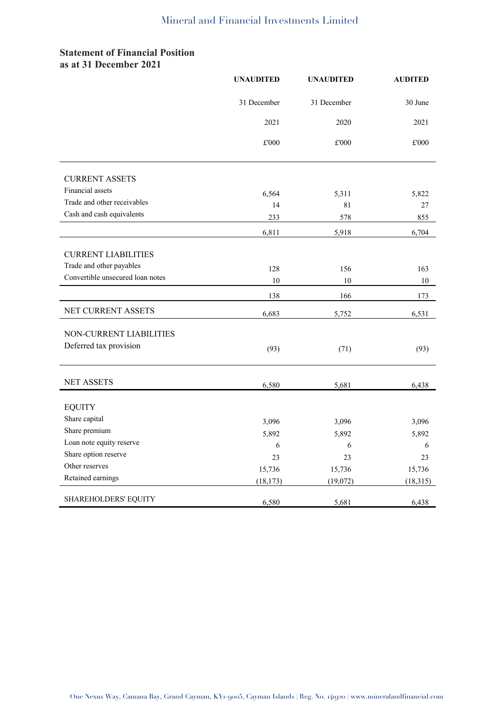## **Statement of Financial Position as at 31 December 2021**

|                                  | <b>UNAUDITED</b> | <b>UNAUDITED</b> | <b>AUDITED</b> |
|----------------------------------|------------------|------------------|----------------|
|                                  | 31 December      | 31 December      | 30 June        |
|                                  | 2021             | 2020             | 2021           |
|                                  | £'000            | £'000            | £'000          |
| <b>CURRENT ASSETS</b>            |                  |                  |                |
| Financial assets                 | 6,564            | 5,311            | 5,822          |
| Trade and other receivables      | 14               | 81               | 27             |
| Cash and cash equivalents        | 233              | 578              | 855            |
|                                  | 6,811            | 5,918            | 6,704          |
|                                  |                  |                  |                |
| <b>CURRENT LIABILITIES</b>       |                  |                  |                |
| Trade and other payables         | 128              | 156              | 163            |
| Convertible unsecured loan notes | $10\,$           | $10\,$           | $10\,$         |
|                                  | 138              | 166              | 173            |
| NET CURRENT ASSETS               | 6,683            | 5,752            | 6,531          |
| NON-CURRENT LIABILITIES          |                  |                  |                |
| Deferred tax provision           |                  |                  |                |
|                                  | (93)             | (71)             | (93)           |
|                                  |                  |                  |                |
| <b>NET ASSETS</b>                | 6,580            | 5,681            | 6,438          |
| <b>EQUITY</b>                    |                  |                  |                |
| Share capital                    |                  |                  | 3,096          |
| Share premium                    | 3,096<br>5,892   | 3,096<br>5,892   |                |
| Loan note equity reserve         | 6                | 6                | 5,892<br>6     |
| Share option reserve             | 23               | 23               | 23             |
| Other reserves                   | 15,736           | 15,736           | 15,736         |
| Retained earnings                | (18, 173)        | (19,072)         | (18, 315)      |
|                                  |                  |                  |                |
| <b>SHAREHOLDERS' EQUITY</b>      | 6,580            | 5,681            | 6,438          |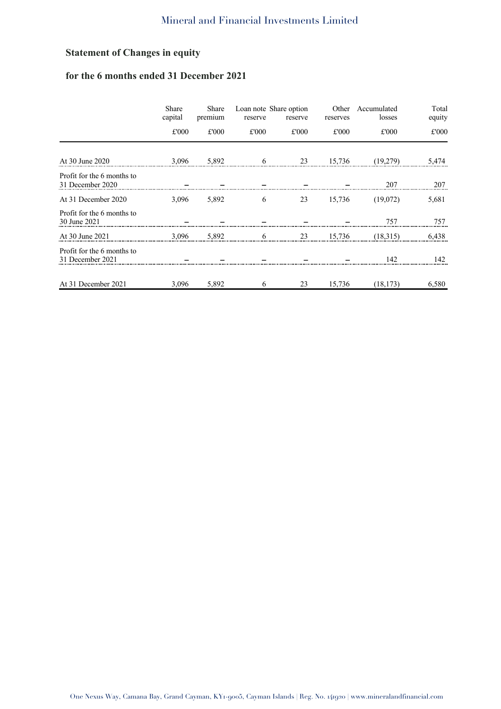# **Statement of Changes in equity**

# **for the 6 months ended 31 December 2021**

|                                                | Share<br>capital | Share<br>premium | reserve | Loan note Share option<br>reserve | Other<br>reserves | Accumulated<br>losses | Total<br>equity |
|------------------------------------------------|------------------|------------------|---------|-----------------------------------|-------------------|-----------------------|-----------------|
|                                                | £'000            | £'000            | £'000   | £'000                             | £'000             | £'000                 | £'000           |
| At 30 June 2020                                | 3,096            | 5,892            |         | 23                                | 15,736            | (19,279)              | 5,474           |
| Profit for the 6 months to<br>31 December 2020 |                  |                  |         |                                   |                   | 207                   | 207             |
| At 31 December 2020                            | 3.096            | 5,892            | 6       | 23                                | 15,736            | (19,072)              | 5,681           |
| Profit for the 6 months to<br>30 June 2021     |                  |                  |         |                                   |                   | 757                   | 757             |
| At 30 June 2021                                | 3,096            | 5,892            | 6       | 23                                | 15,736            | (18,315)              | 6,438           |
| Profit for the 6 months to<br>31 December 2021 |                  |                  |         |                                   |                   | 142                   | 142             |
| At 31 December 2021                            | 3,096            | 5,892            | 6       | 23                                | 15,736            | (18, 173)             | 6,580           |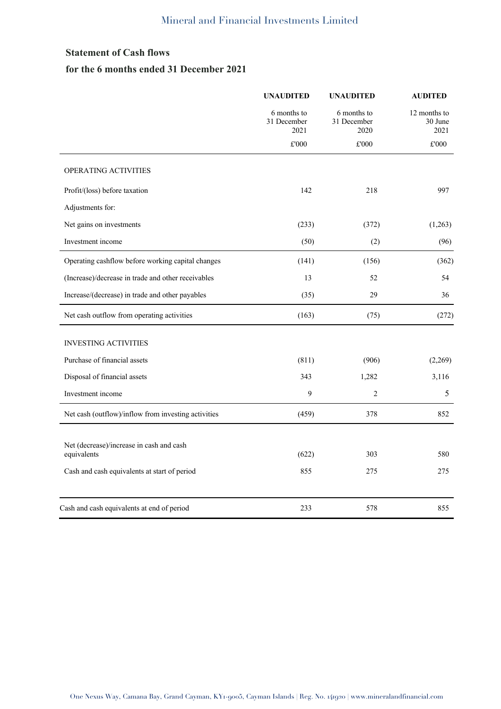# **Statement of Cash flows for the 6 months ended 31 December 2021**

|                                                         | <b>UNAUDITED</b>                   | <b>UNAUDITED</b>                   | <b>AUDITED</b>                  |
|---------------------------------------------------------|------------------------------------|------------------------------------|---------------------------------|
|                                                         | 6 months to<br>31 December<br>2021 | 6 months to<br>31 December<br>2020 | 12 months to<br>30 June<br>2021 |
|                                                         | $\pounds 000$                      | £'000                              | $\pounds 000$                   |
| OPERATING ACTIVITIES                                    |                                    |                                    |                                 |
| Profit/(loss) before taxation                           | 142                                | 218                                | 997                             |
| Adjustments for:                                        |                                    |                                    |                                 |
| Net gains on investments                                | (233)                              | (372)                              | (1,263)                         |
| Investment income                                       | (50)                               | (2)                                | (96)                            |
| Operating cashflow before working capital changes       | (141)                              | (156)                              | (362)                           |
| (Increase)/decrease in trade and other receivables      | 13                                 | 52                                 | 54                              |
| Increase/(decrease) in trade and other payables         | (35)                               | 29                                 | 36                              |
| Net cash outflow from operating activities              | (163)                              | (75)                               | (272)                           |
| <b>INVESTING ACTIVITIES</b>                             |                                    |                                    |                                 |
| Purchase of financial assets                            | (811)                              | (906)                              | (2,269)                         |
| Disposal of financial assets                            | 343                                | 1,282                              | 3,116                           |
| Investment income                                       | 9                                  | 2                                  | 5                               |
| Net cash (outflow)/inflow from investing activities     | (459)                              | 378                                | 852                             |
| Net (decrease)/increase in cash and cash<br>equivalents | (622)                              | 303                                | 580                             |
| Cash and cash equivalents at start of period            | 855                                | 275                                | 275                             |
| Cash and cash equivalents at end of period              | 233                                | 578                                | 855                             |